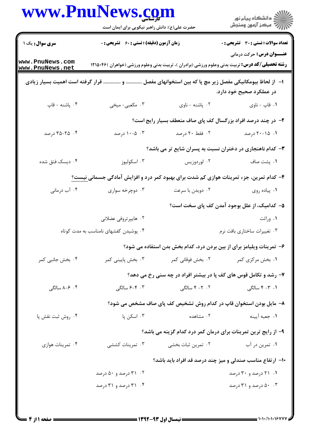|                   | حضرت علی(ع): دانش راهبر نیکویی برای ایمان است                                                    |                                          | ڪ دانشڪاه پيام نور<br>//> مرڪز آزمون وسنڊش                                                                                                 |
|-------------------|--------------------------------------------------------------------------------------------------|------------------------------------------|--------------------------------------------------------------------------------------------------------------------------------------------|
| سری سوال: یک ۱    | زمان آزمون (دقیقه) : تستی : ۶۰٪ تشریحی : ۰                                                       |                                          | <b>تعداد سوالات : تستی : 30 ٪ تشریحی : 0</b>                                                                                               |
| www.PnuNews.com   |                                                                                                  |                                          | <b>عنـــوان درس:</b> حرکت درمانی<br><b>رشته تحصیلی/کد درس:</b> تربیت بدنی وعلوم ورزشی (برادران )، تربیت بدنی وعلوم ورزشی (خواهران )۴۶×۱۲۱۵ |
| www.PnuNews.net   |                                                                                                  |                                          |                                                                                                                                            |
|                   | ا– آز لحاظ بیومکانیکی مفصل زیر مچ پا که بین استخوانهای مفصل  و  قرار گرفته است اهمیت بسیار زیادی |                                          | در عملکرد صحیح خود دارد.                                                                                                                   |
| ۰۴ پاشنه - قاپ    | ۰۳ مکعبی- میخی                                                                                   | ۰۲ پاشنه - ناوی                          | ۰۱ قاپ - ناوی                                                                                                                              |
|                   |                                                                                                  |                                          | ۲- در چند درصد افراد بزرگسال کف پای صاف منعطف بسیار رایج است؟                                                                              |
| ۰۴ - ۳۵-۲۵ درصد   | ۰۳ - ۱۰-۵ درصد                                                                                   | ۰۲ فقط ۲۰ درصد                           | ۰۱ - ۲۰-۲۰ درصد                                                                                                                            |
|                   |                                                                                                  |                                          | ۳- کدام ناهنجاری در دختران نسبت به پسران شایع تر می باشد؟                                                                                  |
| ۰۴ دیسک فتق شده   | ۰۳ اسکوليوز                                                                                      | ۰۲ لوردوزیس                              | ۰۱ پشت صاف                                                                                                                                 |
|                   | ۴- کدام تمرین، جزء تمرینات هوازی کم شدت برای بهبود کمر درد و افزایش آمادگی جسمانی نیست؟          |                                          |                                                                                                                                            |
| ۰۴ آب درمانی      | ۰۳ دوچرخه سواری                                                                                  | ۰۲ دویدن با سرعت                         | ۰۱ پیاده روی                                                                                                                               |
|                   |                                                                                                  |                                          | ۵– کدامیک، از علل بوجود آمدن کف پای سخت است؟                                                                                               |
|                   | ۰۲ هایپرتروفی عضلانی                                                                             |                                          | ۰۱ وراثت                                                                                                                                   |
|                   | ۰۴ پوشیدن کفشهای نامناسب به مدت کوتاه                                                            |                                          | ۰۳ تغییرات ساختاری بافت نرم                                                                                                                |
|                   |                                                                                                  |                                          | ۶– تمرینات ویلیامز برای از بین بردن درد، کدام بخش بدن استفاده می شود؟                                                                      |
| ۰۴ بخش جانبی کمر  | ۰۳ بخش پایینی کمر                                                                                | ۰۱ بخش مرکزی کمر سیستم ۲۰ بخش فوقانی کمر |                                                                                                                                            |
|                   |                                                                                                  |                                          | ۷- رشد و تکامل قوس های کف پا در بیشتر افراد در چه سنی رخ می دهد؟                                                                           |
| ۰۴ - ۸–۸ سالگی    | ۰۳ - ۶–۶ سالگی                                                                                   | ۲. ۲– ۴ سالگی                            | ۰۱ ۳- ۴ سالگی                                                                                                                              |
|                   |                                                                                                  |                                          | ۸– مایل بودن استخوان قاپ در کدام روش تشخیص کف پای صاف مشخص می شود؟                                                                         |
| ۰۴ روش ثبت نقش پا | ۰۳ اسکن پا                                                                                       | ۲. مشاهده                                | ٠١. جعبه آيينه                                                                                                                             |
|                   |                                                                                                  |                                          | ۹- از رایج ترین تمرینات برای درمان کمر درد کدام گزینه می باشد؟                                                                             |
| ۰۴ تمرینات هوازی  | ۰۳ تمرینات کششی                                                                                  | ۰۲ تمرین ثبات بخشی                       | ۰۱ تمرين در آب                                                                                                                             |
|                   |                                                                                                  |                                          | <b>۱۰</b> - ارتفاع مناسب صندلی و میز چند درصد قد افراد باید باشد؟                                                                          |
|                   | ۰۲ درصد و ۵۰ درصد                                                                                |                                          | ۰۱ ۲۱ درصد و ۳۰ درصد                                                                                                                       |
|                   | ۰۴ ۲۱ درصد و ۳۱ درصد                                                                             |                                          | ۰۰۳ درصد و ۳۱ درصد                                                                                                                         |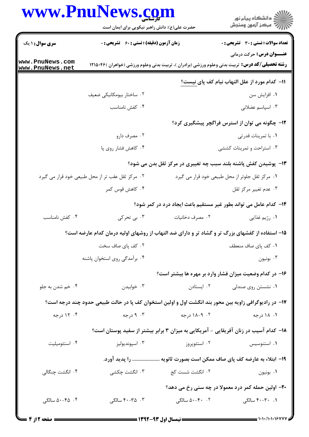## **WWW PnuNews com**

|                                    | www.PnuNews.com<br>حضرت علی(ع): دانش راهبر نیکویی برای ایمان است                                      |                   | ِ<br>∭ دانشڪاه پيام نور<br>∭ مرڪز آزمون وسنڊش                                                                                              |
|------------------------------------|-------------------------------------------------------------------------------------------------------|-------------------|--------------------------------------------------------------------------------------------------------------------------------------------|
| <b>سری سوال : ۱ یک</b>             | <b>زمان آزمون (دقیقه) : تستی : 60 ٪ تشریحی : 0</b>                                                    |                   | <b>تعداد سوالات : تستی : 30 ٪ تشریحی : 0</b>                                                                                               |
| www.PnuNews.com<br>www.PnuNews.net |                                                                                                       |                   | <b>عنـــوان درس:</b> حرکت درمانی<br><b>رشته تحصیلی/کد درس:</b> تربیت بدنی وعلوم ورزشی (برادران )، تربیت بدنی وعلوم ورزشی (خواهران )۴۶×۱۲۱۵ |
|                                    |                                                                                                       |                   | اا− كدام مورد از علل التهاب نيام كف پاى نيست؟                                                                                              |
|                                    | ۰۲ ساختار بیومکانیکی ضعیف                                                                             |                   | ۰۱ افزایش سن                                                                                                                               |
|                                    | ۰۴ کفش نامناسب                                                                                        |                   | ۰۳ اسپاسم عضلانی                                                                                                                           |
|                                    |                                                                                                       |                   | ۱۲- چگونه می توان از استرس فراگچر پیشگیری کرد؟                                                                                             |
|                                    | ۰۲ مصرف دارو                                                                                          |                   | ٠١. با تمرينات قدرتى                                                                                                                       |
|                                    | ۰۴ کاهش فشار روی پا                                                                                   |                   | ۰۳ استراحت و تمرینات کششی                                                                                                                  |
|                                    |                                                                                                       |                   | ۱۳- پوشیدن کفش پاشنه بلند سبب چه تغییری در مرکز ثقل بدن می شود؟                                                                            |
|                                    | ۰۲ مرکز ثقل عقب تر از محل طبیعی خود قرار می گیرد                                                      |                   | ٠١. مركز ثقل جلوتر از محل طبيعي خود قرار مي گيرد                                                                                           |
|                                    | ۰۴ کاهش قوس کمر                                                                                       |                   | ۰۳ عدم تغییر مرکز ثقل                                                                                                                      |
|                                    |                                                                                                       |                   | ۱۴- کدام عامل می تواند بطور غیر مستقیم باعث ایجاد درد در کمر شود؟                                                                          |
| ۰۴ کفش نامناسب                     | ۰۳ بی تحرکی                                                                                           | ۰۲ مصرف دخانیات   | ۰۱ رژیم غذایی                                                                                                                              |
|                                    | ۱۵– استفاده از کفشهای بزرگ تر و گشاد تر و دارای ضد التهاب از روشهای اولیه درمان کدام عارضه است؟       |                   |                                                                                                                                            |
|                                    | ۰۲ کف یای صاف سخت                                                                                     |                   | ٠١. كف ياي صاف منعطف                                                                                                                       |
|                                    | ۰۴ برآمدگی روی استخوان پاشنه                                                                          |                   | ۰۳ بونيون                                                                                                                                  |
|                                    |                                                                                                       |                   | ۱۶– در کدام وضعیت میزان فشار وارد بر مهره ها بیشتر است؟                                                                                    |
| ۰۴ خم شدن به جلو                   | ۰۳ خوابیدن                                                                                            | ۰۲ ایستادن        | ۰۱ نشستن روی صندلی                                                                                                                         |
|                                    | ۱۷- در رادیوگرافی زاویه بین محور بند انگشت اول و اولین استخوان کف پا در حالت طبیعی حدود چند درجه است؟ |                   |                                                                                                                                            |
| ۰۴ درجه                            | ۰۳ درجه                                                                                               | ۰۲ - ۱۸-۹ درجه    | ۰۱ ۱۸ درجه                                                                                                                                 |
|                                    |                                                                                                       |                   | ۱۸– کدام آسیب در زنان آفریقایی - آمریکایی به میزان ۳ برابر بیشتر از سفید پوستان است؟                                                       |
| ۰۴ استئوميليت                      | ۰۳ اسپونديوليز                                                                                        | ۰۲ استئوپروز      | ۰۱ استنوسیس                                                                                                                                |
|                                    | را پدید آورد.                                                                                         |                   | ۱۹– ابتلاء به عارضه کف پای صاف ممکن است بصورت ثانویه .                                                                                     |
| ۰۴ انگشت چنگال <sub>ی</sub>        | ۰۳ انگشت چکشی                                                                                         | ۰۲ انگشت شست کج   | ۰۱ بونيون                                                                                                                                  |
|                                    |                                                                                                       |                   | ۲۰– اولین حمله کمر درد معمولا در چه سنی رخ می دهد؟                                                                                         |
| ۰۴ ه-۵۰ سالگی                      | ۰۳ ـ ۴۰–۴۰ سالگی                                                                                      | ۰.۲ - ۵۰–۵۰ سالگی | ۰.۱ ۳۰–۴۰ سالگی                                                                                                                            |
|                                    |                                                                                                       |                   |                                                                                                                                            |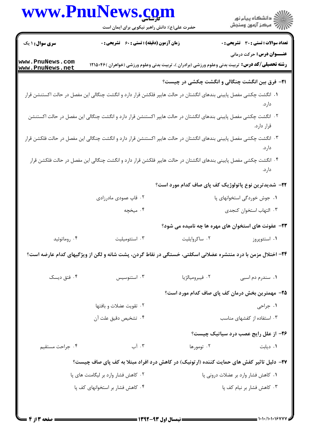|                                     | www.PnuNews.com<br>حضرت علی(ع): دانش راهبر نیکویی برای ایمان است                                                    |                                     | ڪ دانشڪاه پيا <sub>م</sub> نور<br>ر <i>7</i> مرڪز آزمون وسنڊش |
|-------------------------------------|---------------------------------------------------------------------------------------------------------------------|-------------------------------------|---------------------------------------------------------------|
| <b>سری سوال :</b> ۱ یک              | <b>زمان آزمون (دقیقه) : تستی : 60 ٪ تشریحی : 0</b>                                                                  |                                     | تعداد سوالات : تستي : 30 - تشريحي : 0                         |
| www.PnuNews.com<br>www.PnuNews.net  | <b>رشته تحصیلی/کد درس:</b> تربیت بدنی وعلوم ورزشی (برادران )، تربیت بدنی وعلوم ورزشی (خواهران )۴۶-۱۲۱۵              |                                     | <b>عنـــوان درس:</b> حرکت درمانی                              |
|                                     |                                                                                                                     |                                     | <b>۲۱</b> - فرق بین انگشت چنگالی و انگشت چکشی در چیست؟        |
|                                     | ۰۱ انگشت چکشی مفصل پایینی بندهای انگشتان در حالت هایپر فلکشن قرار دارد و انگشت چنگالی این مفصل در حالت اکستنشن قرار |                                     | دارد.                                                         |
|                                     | ۰۲ انگشت چکشی مفصل پایینی بندهای انگشتان در حالت هایپر اکستنشن قرار دارد و انگشت چنگالی این مفصل در حالت اکستنشن    |                                     | قرار دارد.                                                    |
|                                     | ۰۳ انگشت چکشی مفصل پایینی بندهای انگشتان در حالت هایپر اکستنشن قرار دارد و انگشت چنگالی این مفصل در حالت فلکشن قرار |                                     | دارد.                                                         |
|                                     | ۰۴ انگشت چکشی مفصل پایینی بندهای انگشتان در حالت هایپر فلکشن قرار دارد و انگشت چنگالی این مفصل در حالت فلکشن قرار   |                                     | دارد.                                                         |
|                                     |                                                                                                                     |                                     | <b>۲۲</b> - شدیدترین نوع پاتولوژیک کف پای صاف کدام مورد است؟  |
|                                     | ۰۲ قاپ عمودی مادرزادی                                                                                               |                                     | ۰۱ جوش خوردگی استخوانهای پا                                   |
|                                     | ۰۴ میخچه                                                                                                            |                                     | ۰۳ التهاب استخوان كنجدى                                       |
|                                     |                                                                                                                     |                                     | ۲۳- عفونت های استخوان های مهره ها چه نامیده می شود؟           |
| ۰۴ روماتوئيد                        | ۰۳ استئوميليت                                                                                                       | ۰۲ ساکروایلیت                       | ۰۱ استئوپروز                                                  |
|                                     | ۲۴– اختلال مزمن با درد منتشره عضلانی اسکلتی، خستگی در نقاط گردن، پشت شانه و لگن از ویژگیهای کدام عارضه است؟         |                                     |                                                               |
| ۰۴ فتق دیسک                         | ۰۳ استنوسیس                                                                                                         | ۰۲ فيبروميالژيا                     | ۰۱ سندرم دم اسبی                                              |
|                                     |                                                                                                                     |                                     | ۲۵– مهمترین بخش درمان کف پای صاف کدام مورد است؟               |
| ۰۲ تقويت عضلات و بافتها             |                                                                                                                     |                                     | ۰۱ جراحی                                                      |
|                                     | ۰۴ تشخیص دقیق علت آن                                                                                                |                                     | ۰۳ استفاده از کفشهای مناسب                                    |
|                                     |                                                                                                                     |                                     | ۲۶- از علل رایج عصب درد سیاتیک چیست؟                          |
| ۰۴ جراحت مستقيم                     | ۰۳ آب                                                                                                               | ۰۲ تومورها                          | ٠١. ديابت                                                     |
|                                     | ۲۷- دلیل تاثیر کفش های حمایت کننده (ارتونیک) در کاهش درد افراد مبتلا به کف پای صاف چیست؟                            |                                     |                                                               |
| ۰۲ کاهش فشار وارد بر لیگامنت های پا |                                                                                                                     | ۰۱ کاهش فشار وارد بر عضلات درونی پا |                                                               |
| ۰۴ کاهش فشار بر استخوانهای کف پا    |                                                                                                                     |                                     | ۰۳ کاهش فشار بر نیام کف پا                                    |